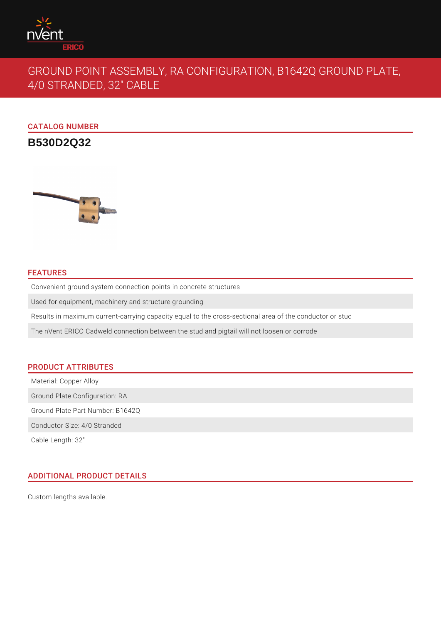

# GROUND POINT ASSEMBLY, RA CONFIGURATION, B1642Q GROUND PLATE, 4/0 STRANDED, 32" CABLE

CATALOG NUMBER

**B530D2Q32**



## FEATURES

Convenient ground system connection points in concrete structures

Used for equipment, machinery and structure grounding

Results in maximum current-carrying capacity equal to the cross-sectional area of the conductor or stud

The nVent ERICO Cadweld connection between the stud and pigtail will not loosen or corrode

# PRODUCT ATTRIBUTES

Material: Copper Alloy

Ground Plate Configuration: RA

Ground Plate Part Number: B1642Q

Conductor Size: 4/0 Stranded

Cable Length: 32"

# ADDITIONAL PRODUCT DETAILS

Custom lengths available.